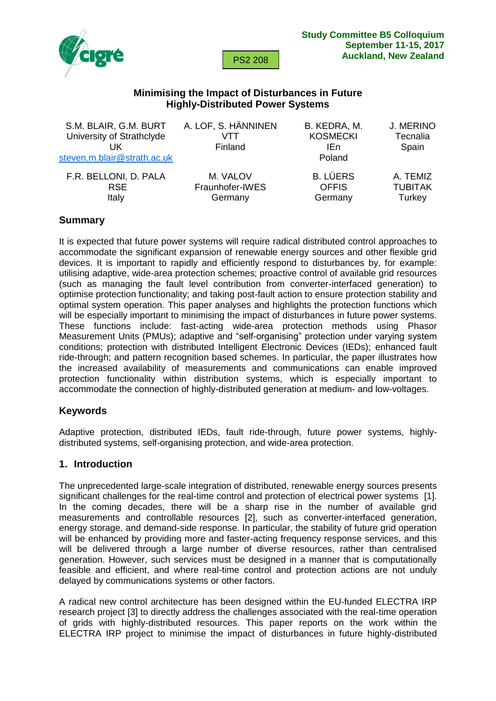

# **Minimising the Impact of Disturbances in Future Highly-Distributed Power Systems**

| S.M. BLAIR, G.M. BURT       | A. LOF, S. HÄNNINEN | B. KEDRA, M.    | J. MERINO      |
|-----------------------------|---------------------|-----------------|----------------|
| University of Strathclyde   | VTT                 | <b>KOSMECKI</b> | Tecnalia       |
| UK                          | Finland             | IEn             | Spain          |
| steven.m.blair@strath.ac.uk |                     | Poland          |                |
| F.R. BELLONI, D. PALA       | M. VALOV            | <b>B. LÜERS</b> | A. TEMIZ       |
| <b>RSE</b>                  | Fraunhofer-IWES     | <b>OFFIS</b>    | <b>TUBITAK</b> |
| Italy                       | Germany             | Germany         | Turkey         |
|                             |                     |                 |                |

# **Summary**

It is expected that future power systems will require radical distributed control approaches to accommodate the significant expansion of renewable energy sources and other flexible grid devices. It is important to rapidly and efficiently respond to disturbances by, for example: utilising adaptive, wide-area protection schemes; proactive control of available grid resources (such as managing the fault level contribution from converter-interfaced generation) to optimise protection functionality; and taking post-fault action to ensure protection stability and optimal system operation. This paper analyses and highlights the protection functions which will be especially important to minimising the impact of disturbances in future power systems. These functions include: fast-acting wide-area protection methods using Phasor Measurement Units (PMUs); adaptive and "self-organising" protection under varying system conditions; protection with distributed Intelligent Electronic Devices (IEDs); enhanced fault ride-through; and pattern recognition based schemes. In particular, the paper illustrates how the increased availability of measurements and communications can enable improved protection functionality within distribution systems, which is especially important to accommodate the connection of highly-distributed generation at medium- and low-voltages.

# **Keywords**

Adaptive protection, distributed IEDs, fault ride-through, future power systems, highlydistributed systems, self-organising protection, and wide-area protection.

#### **1. Introduction**

The unprecedented large-scale integration of distributed, renewable energy sources presents significant challenges for the real-time control and protection of electrical power systems [1]. In the coming decades, there will be a sharp rise in the number of available grid measurements and controllable resources [2], such as converter-interfaced generation, energy storage, and demand-side response. In particular, the stability of future grid operation will be enhanced by providing more and faster-acting frequency response services, and this will be delivered through a large number of diverse resources, rather than centralised generation. However, such services must be designed in a manner that is computationally feasible and efficient, and where real-time control and protection actions are not unduly delayed by communications systems or other factors.

A radical new control architecture has been designed within the EU-funded ELECTRA IRP research project [3] to directly address the challenges associated with the real-time operation of grids with highly-distributed resources. This paper reports on the work within the ELECTRA IRP project to minimise the impact of disturbances in future highly-distributed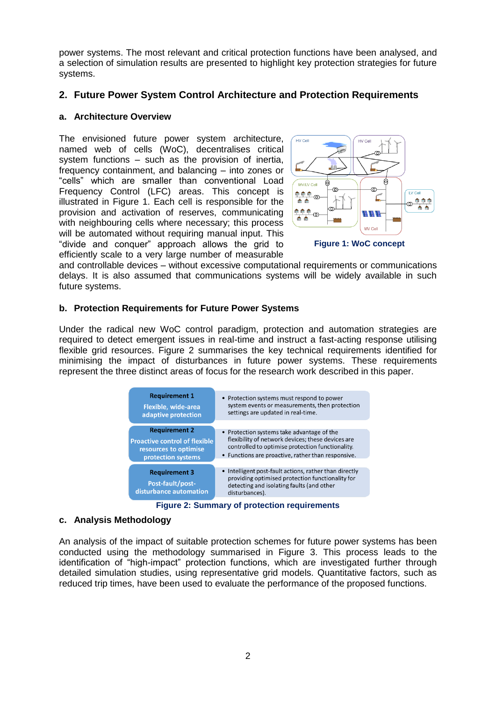power systems. The most relevant and critical protection functions have been analysed, and a selection of simulation results are presented to highlight key protection strategies for future systems.

# **2. Future Power System Control Architecture and Protection Requirements**

#### **a. Architecture Overview**

The envisioned future power system architecture, named web of cells (WoC), decentralises critical system functions – such as the provision of inertia, frequency containment, and balancing – into zones or "cells" which are smaller than conventional Load Frequency Control (LFC) areas. This concept is illustrated in [Figure 1.](#page-1-0) Each cell is responsible for the provision and activation of reserves, communicating with neighbouring cells where necessary; this process will be automated without requiring manual input. This "divide and conquer" approach allows the grid to efficiently scale to a very large number of measurable



<span id="page-1-0"></span>**Figure 1: WoC concept**

and controllable devices – without excessive computational requirements or communications delays. It is also assumed that communications systems will be widely available in such future systems.

## **b. Protection Requirements for Future Power Systems**

Under the radical new WoC control paradigm, protection and automation strategies are required to detect emergent issues in real-time and instruct a fast-acting response utilising flexible grid resources. [Figure 2](#page-1-1) summarises the key technical requirements identified for minimising the impact of disturbances in future power systems. These requirements represent the three distinct areas of focus for the research work described in this paper.



**Figure 2: Summary of protection requirements**

#### <span id="page-1-1"></span>**c. Analysis Methodology**

An analysis of the impact of suitable protection schemes for future power systems has been conducted using the methodology summarised in [Figure 3.](#page-2-0) This process leads to the identification of "high-impact" protection functions, which are investigated further through detailed simulation studies, using representative grid models. Quantitative factors, such as reduced trip times, have been used to evaluate the performance of the proposed functions.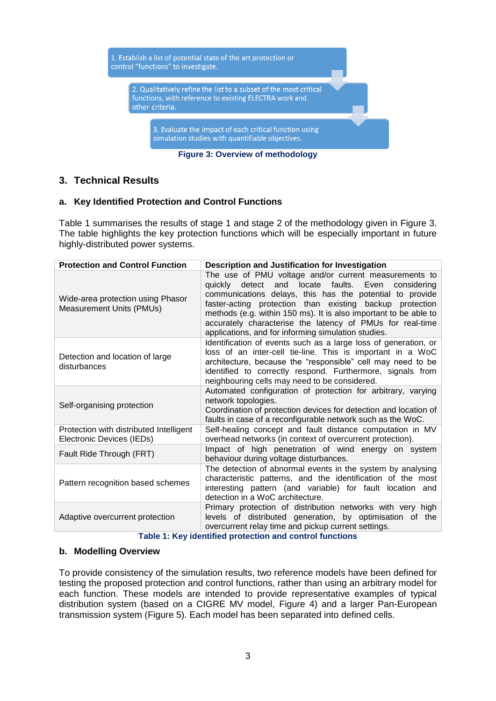

**Figure 3: Overview of methodology**

# <span id="page-2-0"></span>**3. Technical Results**

## **a. Key Identified Protection and Control Functions**

[Table 1](#page-2-1) summarises the results of stage 1 and stage 2 of the methodology given in [Figure 3.](#page-2-0) The table highlights the key protection functions which will be especially important in future highly-distributed power systems.

| <b>Protection and Control Function</b>                               | Description and Justification for Investigation                                                                                                                                                                                                                                                                                                                                                                                |  |
|----------------------------------------------------------------------|--------------------------------------------------------------------------------------------------------------------------------------------------------------------------------------------------------------------------------------------------------------------------------------------------------------------------------------------------------------------------------------------------------------------------------|--|
| Wide-area protection using Phasor<br><b>Measurement Units (PMUs)</b> | The use of PMU voltage and/or current measurements to<br>quickly detect and locate faults. Even<br>considering<br>communications delays, this has the potential to provide<br>faster-acting protection than existing backup protection<br>methods (e.g. within 150 ms). It is also important to be able to<br>accurately characterise the latency of PMUs for real-time<br>applications, and for informing simulation studies. |  |
| Detection and location of large<br>disturbances                      | Identification of events such as a large loss of generation, or<br>loss of an inter-cell tie-line. This is important in a WoC<br>architecture, because the "responsible" cell may need to be<br>identified to correctly respond. Furthermore, signals from<br>neighbouring cells may need to be considered.                                                                                                                    |  |
| Self-organising protection                                           | Automated configuration of protection for arbitrary, varying<br>network topologies.<br>Coordination of protection devices for detection and location of<br>faults in case of a reconfigurable network such as the WoC.                                                                                                                                                                                                         |  |
| Protection with distributed Intelligent<br>Electronic Devices (IEDs) | Self-healing concept and fault distance computation in MV<br>overhead networks (in context of overcurrent protection).                                                                                                                                                                                                                                                                                                         |  |
| Fault Ride Through (FRT)                                             | Impact of high penetration of wind energy on system<br>behaviour during voltage disturbances.                                                                                                                                                                                                                                                                                                                                  |  |
| Pattern recognition based schemes                                    | The detection of abnormal events in the system by analysing<br>characteristic patterns, and the identification of the most<br>interesting pattern (and variable) for fault location and<br>detection in a WoC architecture.                                                                                                                                                                                                    |  |
| Adaptive overcurrent protection                                      | Primary protection of distribution networks with very high<br>levels of distributed generation, by optimisation of the<br>overcurrent relay time and pickup current settings.                                                                                                                                                                                                                                                  |  |
| Table 1: Key identified protection and control functions             |                                                                                                                                                                                                                                                                                                                                                                                                                                |  |

**Table 1: Key identified protection and control functions**

#### <span id="page-2-1"></span>**b. Modelling Overview**

To provide consistency of the simulation results, two reference models have been defined for testing the proposed protection and control functions, rather than using an arbitrary model for each function. These models are intended to provide representative examples of typical distribution system (based on a CIGRE MV model, [Figure 4\)](#page-3-0) and a larger Pan-European transmission system [\(Figure 5\)](#page-3-1). Each model has been separated into defined cells.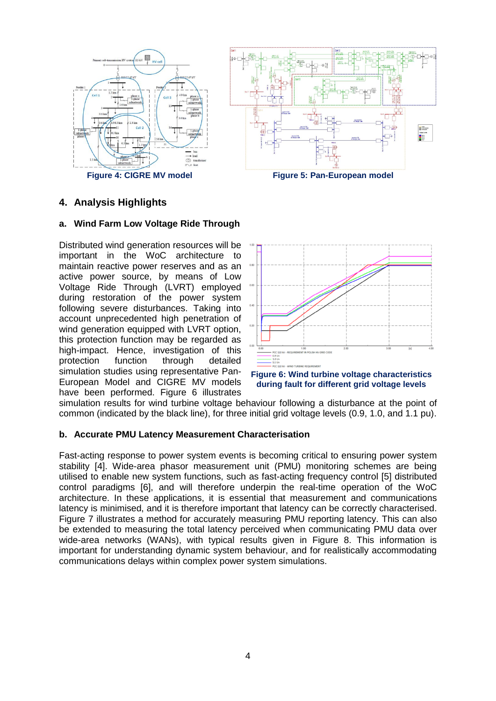



# <span id="page-3-0"></span>**4. Analysis Highlights**

#### **a. Wind Farm Low Voltage Ride Through**

Distributed wind generation resources will be important in the WoC architecture to maintain reactive power reserves and as an active power source, by means of Low Voltage Ride Through (LVRT) employed during restoration of the power system following severe disturbances. Taking into account unprecedented high penetration of wind generation equipped with LVRT option, this protection function may be regarded as high-impact. Hence, investigation of this<br>protection function through detailed protection function through detailed simulation studies using representative Pan-European Model and CIGRE MV models have been performed. [Figure 6](#page-3-2) illustrates

<span id="page-3-1"></span>

<span id="page-3-2"></span>

simulation results for wind turbine voltage behaviour following a disturbance at the point of common (indicated by the black line), for three initial grid voltage levels (0.9, 1.0, and 1.1 pu).

#### **b. Accurate PMU Latency Measurement Characterisation**

Fast-acting response to power system events is becoming critical to ensuring power system stability [4]. Wide-area phasor measurement unit (PMU) monitoring schemes are being utilised to enable new system functions, such as fast-acting frequency control [5] distributed control paradigms [6], and will therefore underpin the real-time operation of the WoC architecture. In these applications, it is essential that measurement and communications latency is minimised, and it is therefore important that latency can be correctly characterised. [Figure 7](#page-4-0) illustrates a method for accurately measuring PMU reporting latency. This can also be extended to measuring the total latency perceived when communicating PMU data over wide-area networks (WANs), with typical results given in [Figure 8.](#page-4-1) This information is important for understanding dynamic system behaviour, and for realistically accommodating communications delays within complex power system simulations.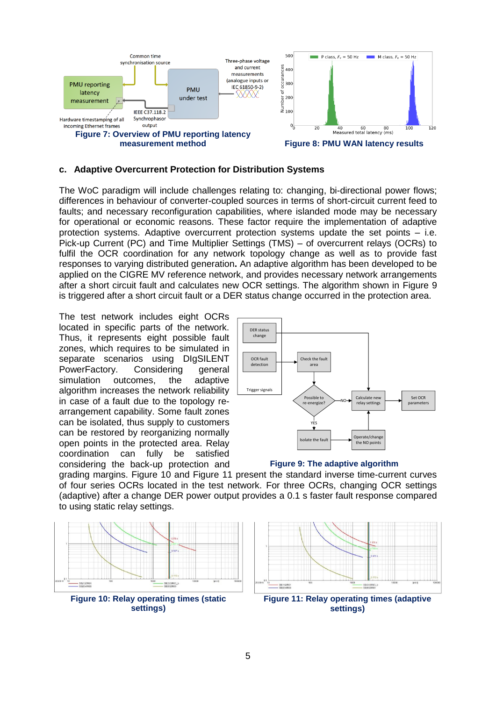

#### <span id="page-4-0"></span>**c. Adaptive Overcurrent Protection for Distribution Systems**

The WoC paradigm will include challenges relating to: changing, bi-directional power flows; differences in behaviour of converter-coupled sources in terms of short-circuit current feed to faults; and necessary reconfiguration capabilities, where islanded mode may be necessary for operational or economic reasons. These factor require the implementation of adaptive protection systems. Adaptive overcurrent protection systems update the set points – i.e. Pick-up Current (PC) and Time Multiplier Settings (TMS) – of overcurrent relays (OCRs) to fulfil the OCR coordination for any network topology change as well as to provide fast responses to varying distributed generation**.** An adaptive algorithm has been developed to be applied on the CIGRE MV reference network, and provides necessary network arrangements after a short circuit fault and calculates new OCR settings. The algorithm shown in [Figure 9](#page-4-2) is triggered after a short circuit fault or a DER status change occurred in the protection area.

The test network includes eight OCRs located in specific parts of the network. Thus, it represents eight possible fault zones, which requires to be simulated in separate scenarios using DIgSILENT PowerFactory. Considering general simulation outcomes, the adaptive algorithm increases the network reliability in case of a fault due to the topology rearrangement capability. Some fault zones can be isolated, thus supply to customers can be restored by reorganizing normally open points in the protected area. Relay coordination can fully be satisfied considering the back-up protection and

<span id="page-4-1"></span>

<span id="page-4-2"></span>

grading margins. [Figure 10](#page-4-3) and [Figure 11](#page-4-4) present the standard inverse time-current curves of four series OCRs located in the test network. For three OCRs, changing OCR settings (adaptive) after a change DER power output provides a 0.1 s faster fault response compared to using static relay settings.



<span id="page-4-3"></span>



<span id="page-4-4"></span>**Figure 11: Relay operating times (adaptive settings)**